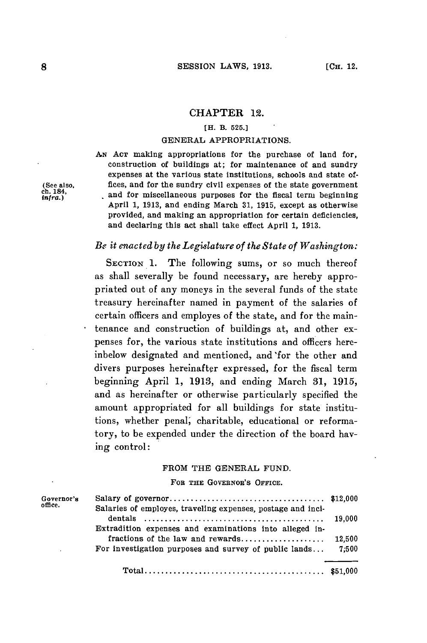### CHAPTER 12.

## **[H. B. 525.]**

### **GENERAL** APPROPRIATIONS.

**AN ACT** making appropriations for the purchase of land for, construction of buildings at; for maintenance of and sundry expenses at the various state institutions, schools and state of- (See also, fices, and for the sundry civil expenses of the state government<br>ch. 184, **infra.)** and for miscellaneous purposes for the fiscal term beginning April **1, 1913,** and ending March **31, 1915,** except as otherwise provided, and making an appropriation for certain deficiencies, and declaring this act shall take effect April **1, 1913.**

# *Be it enacted by the Legislature of the State of Washington:*

SECTION **1.** The following sums, or so much thereof as shall severally be found necessary, are hereby appropriated out of any moneys in the several funds of the state treasury hereinafter named in payment of the salaries of certain officers and employes of the state, and for the maintenance and construction of buildings at, and other expenses for, the various state institutions and officers hereinbelow designated and mentioned, and'for the other and divers purposes hereinafter expressed, for the fiscal term beginning April **1, 1913,** and ending March **31, 1915,** and as hereinafter or otherwise particularly specified the amount appropriated for all buildings for state institutions, whether penal; charitable, educational or reformatory, to be expended under the direction of the board having control:

## FROM THE **GENERAL FUND.**

### **FOR THE** GOVERNOR's OFFICE.

| Governor's<br>office. |                                                             |        |
|-----------------------|-------------------------------------------------------------|--------|
|                       | Salaries of employes, traveling expenses, postage and inci- | 19.000 |
|                       | Extradition expenses and examinations into alleged in-      |        |
|                       |                                                             | 12.500 |
|                       | For investigation purposes and survey of public lands       | 7:500  |
|                       |                                                             |        |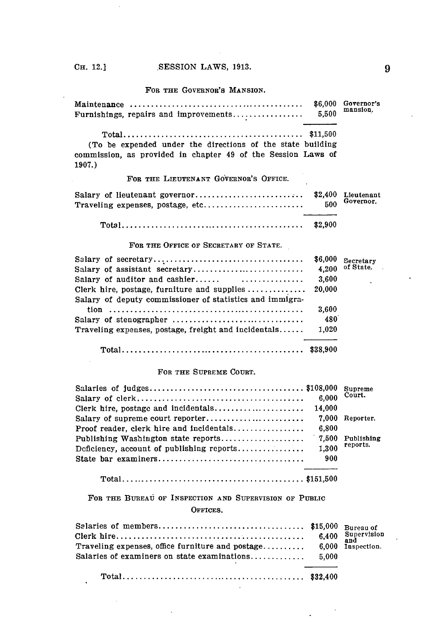FOR THE GOVERNOR'S *MANSION.*

| Furnishings, repairs and improvements                                  | \$6,000<br>5,500 | Governor's<br>mansion.  |
|------------------------------------------------------------------------|------------------|-------------------------|
|                                                                        |                  |                         |
|                                                                        |                  |                         |
| (To be expended under the directions of the state building             |                  |                         |
| commission, as provided in chapter 49 of the Session Laws of<br>1907.) |                  |                         |
| FOR THE LIEUTENANT GOVERNOR'S OFFICE.                                  |                  |                         |
| Salary of lieutenant governor<br>Traveling expenses, postage, etc      | \$2,400<br>500   | Lieutenant<br>Governor. |
|                                                                        | \$2,900          |                         |
| FOR THE OFFICE OF SECRETARY OF STATE.                                  |                  |                         |
|                                                                        | \$6,000          | Secretary               |
| Salary of assistant secretary                                          | 4,200            | of State.               |
| Salary of auditor and cashier $\ldots$                                 | 3,600            |                         |
| Clerk hire, postage, furniture and supplies $\dots\dots\dots\dots$     | 20,000           |                         |
| Salary of deputy commissioner of statistics and immigra-               |                  |                         |
|                                                                        | 3.600            |                         |
| Salary of stenographer                                                 | 480              |                         |
| Traveling expenses, postage, freight and incidentals                   | 1.020            |                         |
|                                                                        |                  |                         |

### **FOR THE SUPREME COURT.**

|                                          |        | <b>Supreme</b> |
|------------------------------------------|--------|----------------|
|                                          | 6.000  | Court.         |
|                                          | 14.000 |                |
|                                          | 7.000  | Reporter.      |
| Proof reader, clerk hire and incidentals | 6.800  |                |
|                                          | 7,500  | Publishing     |
|                                          | 1.300  | reports.       |
|                                          | 900    |                |
|                                          |        |                |
|                                          |        |                |

FOR THE BUREAU OF INSPECTION AND SUPERVISION OF PUBLIC **OFFICES.**

| Traveling expenses, office furniture and postage $6.000$ Inspection. |  |
|----------------------------------------------------------------------|--|
|                                                                      |  |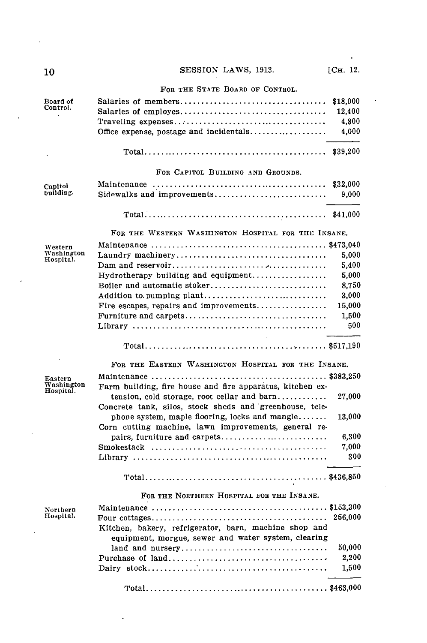| 10                      | SESSION LAWS, 1913.                                                                                                               | [Сн. 12. |
|-------------------------|-----------------------------------------------------------------------------------------------------------------------------------|----------|
|                         | FOR THE STATE BOARD OF CONTROL.                                                                                                   |          |
| Board of                | Salaries of members                                                                                                               | \$18,000 |
| Control.                |                                                                                                                                   | 12,400   |
|                         |                                                                                                                                   | 4,800    |
|                         | Office expense, postage and incidentals                                                                                           | 4,000    |
|                         | $Total \dots \dots \dots \dots \dots \dots \dots \dots \dots \dots \dots \dots \dots \dots \dots \dots$                           | \$39,200 |
|                         | FOR CAPITOL BUILDING AND GROUNDS.                                                                                                 |          |
| Capitol                 |                                                                                                                                   | \$32,000 |
| building.               | Sidewalks and improvements                                                                                                        | 9,000    |
|                         |                                                                                                                                   |          |
|                         | FOR THE WESTERN WASHINGTON HOSPITAL FOR THE INSANE.                                                                               |          |
| Western                 |                                                                                                                                   |          |
| Washington<br>Hospital. |                                                                                                                                   | 5,000    |
|                         |                                                                                                                                   | 5,400    |
|                         |                                                                                                                                   | 5,000    |
|                         | Boiler and automatic stoker                                                                                                       | 8,750    |
|                         | Addition to pumping plant                                                                                                         | 3,000    |
|                         | Fire escapes, repairs and improvements                                                                                            | 15,000   |
|                         | Furniture and carpets                                                                                                             | 1,500    |
|                         |                                                                                                                                   | 500      |
|                         |                                                                                                                                   |          |
|                         | FOR THE EASTERN WASHINGTON HOSPITAL FOR THE INSANE.                                                                               |          |
| Eastern                 |                                                                                                                                   |          |
| Washington<br>Hospital. | Farm building, fire house and fire apparatus, kitchen ex-                                                                         |          |
|                         | tension, cold storage, root cellar and $\text{barn} \dots \dots \dots$<br>Concrete tank, silos, stock sheds and greenhouse, tele- | 27,000   |
|                         | phone system, maple flooring, locks and mangle                                                                                    | 13.000   |
|                         | Corn cutting machine, lawn improvements, general re-                                                                              |          |
|                         |                                                                                                                                   | 6,300    |
|                         |                                                                                                                                   | 7,000    |
|                         |                                                                                                                                   | 300      |
|                         |                                                                                                                                   |          |
|                         | FOR THE NORTHERN HOSPITAL FOR THE INSANE.                                                                                         |          |
| Northern                |                                                                                                                                   |          |
| Hospital.               |                                                                                                                                   | 256,000  |
|                         | Kitchen, bakery, refrigerator, barn, machine shop and                                                                             |          |
|                         | equipment, morgue, sewer and water system, clearing                                                                               |          |
|                         |                                                                                                                                   | 50,000   |
|                         |                                                                                                                                   | 2,200    |
|                         |                                                                                                                                   | 1,500    |

**Total.........................................** \$463,000

.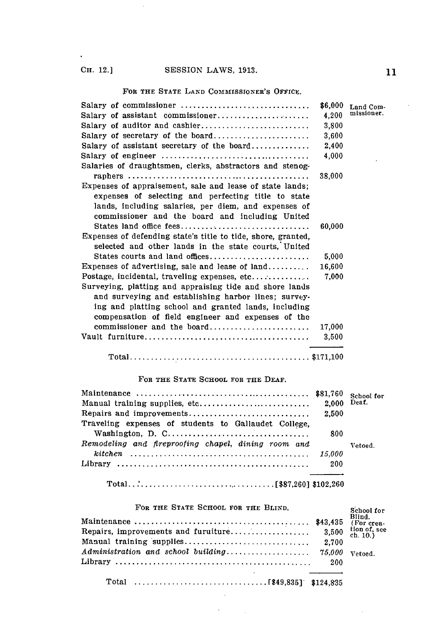$\hat{\mathbf{r}}$ 

 $\bar{z}$ 

# FOR THE **STATE LAND** COMMISSIONER'S **OFFICE.**

| Salary of commissioner                                       | \$6,000 | Land Com-  |
|--------------------------------------------------------------|---------|------------|
| Salary of assistant commissioner                             | 4,200   | missioner. |
| Salary of auditor and cashier                                | 3.800   |            |
| Salary of secretary of the board                             | 3,600   |            |
| Salary of assistant secretary of the board                   | 2,400   |            |
|                                                              | 4,000   |            |
| Salaries of draughtsmen, clerks, abstractors and stenog-     |         |            |
|                                                              | 38.000  |            |
| Expenses of appraisement, sale and lease of state lands;     |         |            |
| expenses of selecting and perfecting title to state          |         |            |
| lands, including salaries, per diem, and expenses of         |         |            |
| commissioner and the board and including United              |         |            |
| States land office fees                                      | 60,000  |            |
| Expenses of defending state's title to tide, shore, granted, |         |            |
| selected and other lands in the state courts, United         |         |            |
|                                                              | 5,000   |            |
| Expenses of advertising, sale and lease of $land$            | 16,600  |            |
|                                                              | 7.000   |            |
| Surveying, platting and appraising tide and shore lands      |         |            |
| and surveying and establishing harbor lines; survey-         |         |            |
| ing and platting school and granted lands, including         |         |            |
| compensation of field engineer and expenses of the           |         |            |
| commissioner and the board                                   | 17,000  |            |
|                                                              | 3.500   |            |
|                                                              |         |            |
|                                                              |         |            |

### FOR THE **STATE SCHOOL** FOR THE **DEAF.**

|                                                                                                            |             | School for |
|------------------------------------------------------------------------------------------------------------|-------------|------------|
| Manual training supplies, etc                                                                              | 2.000 Deaf. |            |
|                                                                                                            | 2.500       |            |
| Traveling expenses of students to Gallaudet College.                                                       |             |            |
|                                                                                                            | 800         |            |
| Remodeling and fireproofing chapel, dining room and                                                        |             | Vetoed.    |
|                                                                                                            |             |            |
| $\text{Library} \dots \dots \dots \dots \dots \dots \dots \dots \dots \dots \dots \dots \dots \dots \dots$ | 200         |            |
|                                                                                                            |             |            |
|                                                                                                            |             |            |

# FOR THE STATE SCHOOL FOR THE BLIND. School for

 $\sim 10^{-11}$  $\mathcal{L}^{\text{max}}$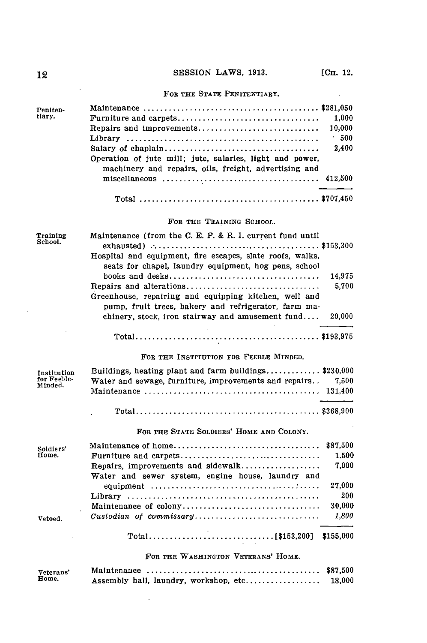$\sim 100$ 

# FOR **THE STATE** PENITENTIARY.

| Peniten- |                                                                                                                   |        |
|----------|-------------------------------------------------------------------------------------------------------------------|--------|
| tiary.   |                                                                                                                   | 1.000  |
|          | Repairs and improvements                                                                                          | 10.000 |
|          |                                                                                                                   | 500    |
|          |                                                                                                                   | 2.400  |
|          | Operation of jute mill; jute, salaries, light and power,<br>machinery and repairs, oils, freight, advertising and |        |
|          |                                                                                                                   |        |
|          |                                                                                                                   |        |

### FOR THE **TRAINING SCHOOL.**

| Training<br>School.    | Maintenance (from the C. E. P. & R. I. current fund until                                                                                                                                                                                                                                                          |                           |
|------------------------|--------------------------------------------------------------------------------------------------------------------------------------------------------------------------------------------------------------------------------------------------------------------------------------------------------------------|---------------------------|
|                        | Hospital and equipment, fire escapes, slate roofs, walks,<br>seats for chapel, laundry equipment, hog pens, school<br>Repairs and alterations<br>Greenhouse, repairing and equipping kitchen, well and<br>pump, fruit trees, bakery and refrigerator, farm ma-<br>chinery, stock, iron stairway and amusement fund | 14,975<br>5,700<br>20,000 |
|                        |                                                                                                                                                                                                                                                                                                                    |                           |
|                        |                                                                                                                                                                                                                                                                                                                    |                           |
|                        | FOR THE INSTITUTION FOR FEEBLE MINDED.                                                                                                                                                                                                                                                                             |                           |
| <b>Institution</b>     | Buildings, heating plant and farm buildings\$230,000                                                                                                                                                                                                                                                               |                           |
| for Feeble-<br>Minded. | Water and sewage, furniture, improvements and repairs                                                                                                                                                                                                                                                              | 7.500                     |
|                        |                                                                                                                                                                                                                                                                                                                    |                           |
|                        |                                                                                                                                                                                                                                                                                                                    |                           |
|                        | FOR THE STATE SOLDIERS' HOME AND COLONY.                                                                                                                                                                                                                                                                           |                           |
| Soldiers'              |                                                                                                                                                                                                                                                                                                                    | \$87.500                  |
| Home.                  | Furniture and carpets                                                                                                                                                                                                                                                                                              | 1.500                     |
|                        | Repairs, improvements and sidewalk<br>Water and sewer system, engine house, laundry and                                                                                                                                                                                                                            | 7.000                     |
|                        |                                                                                                                                                                                                                                                                                                                    | 27.000                    |
|                        |                                                                                                                                                                                                                                                                                                                    | 200                       |
|                        | Maintenance of colony                                                                                                                                                                                                                                                                                              | 30,000                    |
| Vetoed.                |                                                                                                                                                                                                                                                                                                                    | 1,800                     |
|                        |                                                                                                                                                                                                                                                                                                                    |                           |
|                        | FOR THE WASHINGTON VETERANS' HOME.                                                                                                                                                                                                                                                                                 |                           |
|                        |                                                                                                                                                                                                                                                                                                                    |                           |

| Veterans' |                                       |        |
|-----------|---------------------------------------|--------|
| Home.     | Assembly hall, laundry, workshop, etc | 18.000 |

 $\sim 10^{-11}$ 

 $\bar{z}$ 

 $\sim 10^{-1}$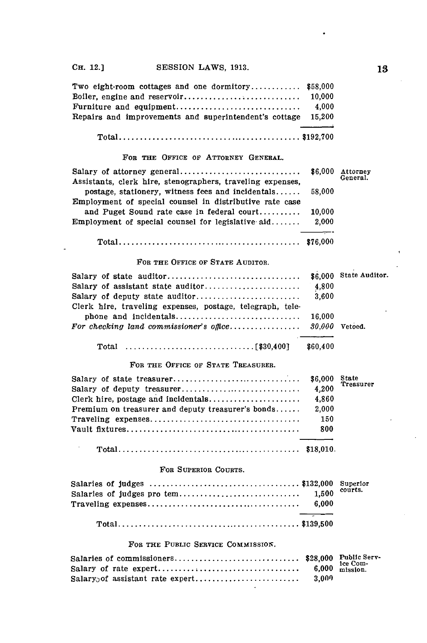| Two eight-room cottages and one dormitory $$58,000$          |  |
|--------------------------------------------------------------|--|
|                                                              |  |
|                                                              |  |
| Repairs and improvements and superintendent's cottage 15,200 |  |
|                                                              |  |
|                                                              |  |

### FOB **THE OFFICE OF ATTORNEY GENERAL.**

| Assistants, clerk hire, stenographers, traveling expenses, |        |  |
|------------------------------------------------------------|--------|--|
| postage, stationery, witness fees and incidentals          | 58.000 |  |
| Employment of special counsel in distributive rate case    |        |  |
| and Puget Sound rate case in federal court                 | 10.000 |  |
| Employment of special counsel for legislative aid          | 2.000  |  |
|                                                            |        |  |
|                                                            |        |  |

### **FoR THE OFFICE OF STATE AUDITOR.**

 $\ddot{\phantom{a}}$ 

|                                                           | 4,800    |  |
|-----------------------------------------------------------|----------|--|
|                                                           | 3.600    |  |
| Clerk hire, traveling expenses, postage, telegraph, tele- |          |  |
|                                                           | 16.000   |  |
| For checking land commissioner's office $30.000$ Vetoed.  |          |  |
|                                                           |          |  |
|                                                           | \$60.400 |  |

### FOR **THE OFFICE OF STATE TREASURER.**

| Salary of deputy treasurer<br>Clerk hire, postage and incidentals<br>Premium on treasurer and deputy treasurer's bonds | 4,200<br>4.860<br>2.000<br>150<br>800 | State<br>Treasurer |
|------------------------------------------------------------------------------------------------------------------------|---------------------------------------|--------------------|
|                                                                                                                        |                                       |                    |

#### FoR SUPERIOR **COURTS.**

### FOR THE PUBLIC SERVICE COMMISSION.

 $\pmb{\cdot}$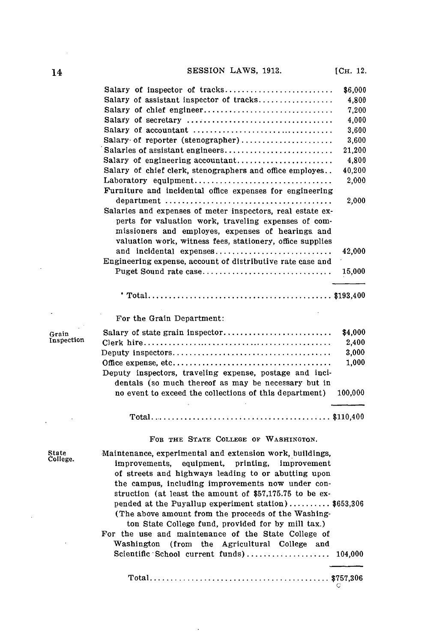|            | Salary of inspector of tracks                              | \$6,000 |
|------------|------------------------------------------------------------|---------|
|            | Salary of assistant inspector of tracks                    | 4,800   |
|            | Salary of chief engineer                                   | 7,200   |
|            |                                                            | 4,000   |
|            |                                                            | 3,600   |
|            | Salary of reporter (stenographer)                          | 3,600   |
|            | Salaries of assistant engineers                            | 21,200  |
|            | Salary of engineering accountant                           | 4,800   |
|            | Salary of chief clerk, stenographers and office employes   | 40,200  |
|            | Laboratory equipment                                       | 2,000   |
|            | Furniture and incidental office expenses for engineering   |         |
|            |                                                            | 2,000   |
|            | Salaries and expenses of meter inspectors, real estate ex- |         |
|            | perts for valuation work, traveling expenses of com-       |         |
|            | missioners and employes, expenses of hearings and          |         |
|            | valuation work, witness fees, stationery, office supplies  |         |
|            | and incidental expenses                                    | 42,000  |
|            | Engineering expense, account of distributive rate case and |         |
|            | Puget Sound rate case                                      | 15,000  |
|            |                                                            |         |
|            | For the Grain Department:                                  |         |
| Grain      |                                                            | \$4,000 |
| Inspection |                                                            | 2,400   |
|            |                                                            | 3,000   |
|            |                                                            | 1.000   |
|            | Deputy inspectors, traveling expense, postage and inci-    |         |
|            | dentals (so much thereof as may be necessary but in        |         |
|            | no event to exceed the collections of this department)     | 100,000 |
|            |                                                            |         |
|            | FOR THE STATE COLLEGE OF WASHINGTON.                       |         |
|            |                                                            |         |
| State      | Maintenance, experimental and extension work, buildings,   |         |

State Maintenance, experimental and extension work, buildings, College. improvements, equipment, printing, improvement of streets and highways leading to or abutting upon the campus, including improvements now under construction (at least the amount of **\$57,175.75** to be expended at the Puyallup experiment station) **.......... \$653,306** (The above amount from the proceeds of the Washington State College fund, provided for **by** mill tax.) For the use and maintenance of the State College of Washington (from the Agricultural College and Scientific School current funds) **..................** 104,000 **Total........................................\$757,306**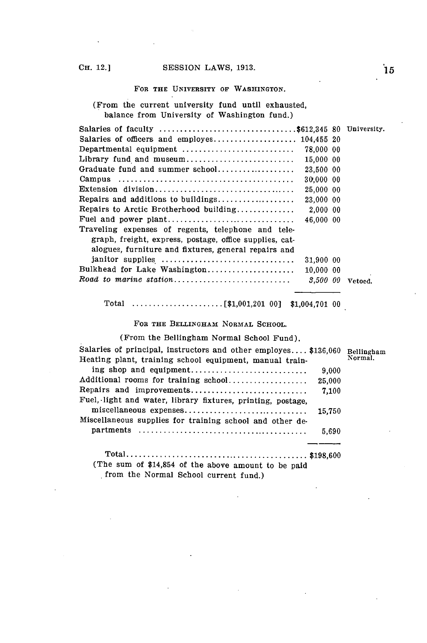### **FOR THE UNIVERSITY OF WASHINGTON.**

(From the current university fund until exhausted, balance from University of Washington fund.)

| Salaries of faculty \$612,345 80 University.                                                         |         |
|------------------------------------------------------------------------------------------------------|---------|
|                                                                                                      |         |
| 78,000 00                                                                                            |         |
| Library fund and museum<br>15,000 00                                                                 |         |
| Graduate fund and summer school<br>23,500 00                                                         |         |
| 30,000 00                                                                                            |         |
| 25,000 00                                                                                            |         |
| Repairs and additions to buildings<br>23,000 00                                                      |         |
| Repairs to Arctic Brotherhood building<br>2.000 00                                                   |         |
| 46,000 00                                                                                            |         |
| Traveling expenses of regents, telephone and tele-                                                   |         |
| graph, freight, express, postage, office supplies, cat-                                              |         |
| alogues, furniture and fixtures, general repairs and                                                 |         |
| janitor supplies<br>31,900 00                                                                        |         |
| Bulkhead for Lake Washington<br>10.000 00                                                            |         |
| $\textit{ Road to marine station} \dots \dots \dots \dots \dots \dots \dots \dots \dots$<br>3.500 00 | Vetoed. |

Total **......................** [\$1,001,201 **00]** \$1,004,701 **<sup>00</sup>**

FOR **THE BELLINGHAM NORMAL SCHOOL.**

(From the Bellingham Normal School Fund).

| Salaries of principal, instructors and other employes \$136,060<br>Heating plant, training school equipment, manual train- |        | Bellingham<br>Normal. |
|----------------------------------------------------------------------------------------------------------------------------|--------|-----------------------|
| ing shop and equipment                                                                                                     | 9.000  |                       |
| Additional rooms for training school                                                                                       | 25,000 |                       |
| Repairs and improvements                                                                                                   | 7.100  |                       |
| Fuel, light and water, library fixtures, printing, postage,                                                                |        |                       |
| miscellaneous expenses                                                                                                     | 15.750 |                       |
| Miscellaneous supplies for training school and other de-                                                                   |        |                       |
|                                                                                                                            | 5.690  |                       |
|                                                                                                                            |        |                       |
|                                                                                                                            |        |                       |
| (The sum of \$14,854 of the above amount to be paid                                                                        |        |                       |

**.** from the Normal School current fund.)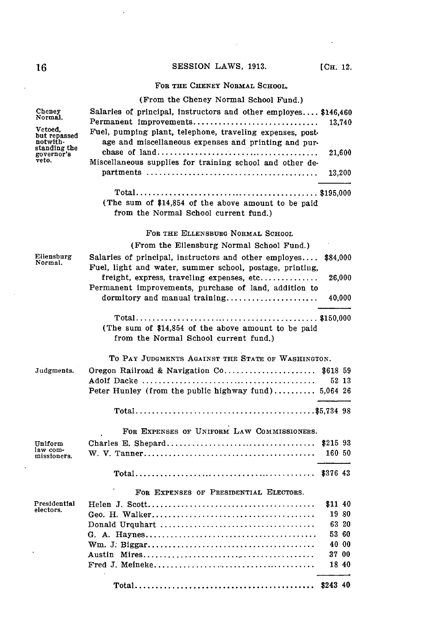$\sim$   $\sim$ 

# FOR THE **OHENEY NORMAL SCHOOL.**

|                            | (From the Cheney Normal School Fund.)                           |          |                |
|----------------------------|-----------------------------------------------------------------|----------|----------------|
| Cheney                     | Salaries of principal, instructors and other employes \$146,460 |          |                |
| Normal.                    | Permanent improvements                                          |          | 13,740         |
| Vetoed,<br>but repassed    | Fuel, pumping plant, telephone, traveling expenses, post-       |          |                |
| notwith-                   | age and miscellaneous expenses and printing and pur-            |          |                |
| standing the<br>governor's |                                                                 |          | 21,600         |
| veto.                      | Miscellaneous supplies for training school and other de-        |          |                |
|                            |                                                                 |          | 13,200         |
|                            |                                                                 |          |                |
|                            | (The sum of \$14,854 of the above amount to be paid             |          |                |
|                            | from the Normal School current fund.)                           |          |                |
|                            | FOR THE ELLENSBURG NORMAL SCHOOL                                |          |                |
|                            | (From the Ellensburg Normal School Fund.)                       |          |                |
| Ellensburg                 | Salaries of principal, instructors and other employes           | \$84,000 |                |
| Normal.                    | Fuel, light and water, summer school, postage, printing,        |          |                |
|                            | freight, express, traveling expenses, etc                       |          | 26,000         |
|                            | Permanent improvements, purchase of land, addition to           |          |                |
|                            | dormitory and manual training                                   |          | 40,000         |
|                            |                                                                 |          |                |
|                            | (The sum of \$14,854 of the above amount to be paid             |          |                |
|                            | from the Normal School current fund.)                           |          |                |
|                            | TO PAY JUDGMENTS AGAINST THE STATE OF WASHINGTON.               |          |                |
| Judgments.                 | Oregon Railroad & Navigation Co                                 | \$618 59 |                |
|                            |                                                                 |          | 52 13          |
|                            | Peter Hunley (from the public highway fund) 5,064 26            |          |                |
|                            |                                                                 |          |                |
|                            |                                                                 |          |                |
|                            | FOR EXPENSES OF UNIFORM LAW COMMISSIONERS.                      |          |                |
| Uniform                    |                                                                 | \$21593  |                |
| law com-<br>missioners.    |                                                                 | 160 50   |                |
|                            |                                                                 |          |                |
|                            |                                                                 |          |                |
|                            | FOR EXPENSES OF PRESIDENTIAL ELECTORS.                          |          |                |
| Presidential<br>electors.  |                                                                 | \$11 40  |                |
|                            |                                                                 |          | 19 80<br>63 20 |
|                            |                                                                 |          | 53 60          |
|                            |                                                                 |          | 40 00          |
|                            |                                                                 |          | 37 00          |
|                            |                                                                 |          | 18 40          |
|                            |                                                                 |          |                |
|                            |                                                                 |          |                |

 $\ddot{\phantom{0}}$ 

 $\sim$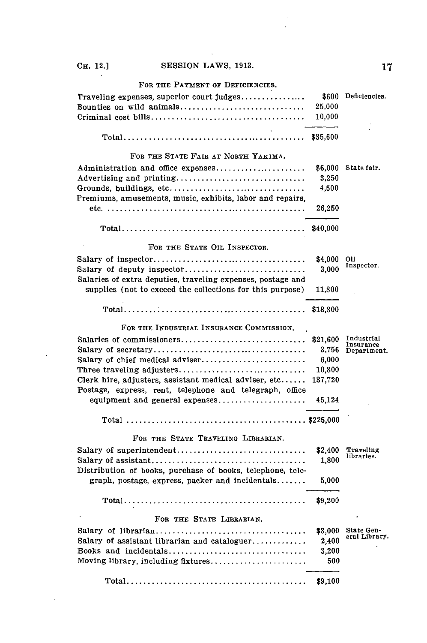$\ddot{\phantom{0}}$ 

# FOR THE PAYMENT OF DEFICIENCIES.

|                                     | 25.000 |  |
|-------------------------------------|--------|--|
|                                     |        |  |
|                                     |        |  |
|                                     |        |  |
| FOR THE STATE FAIR AT NORTH YAKIMA. |        |  |

| FOR THE STATE FAIR AT NORTH YAKIMA.                         |          |                          |
|-------------------------------------------------------------|----------|--------------------------|
| Administration and office expenses                          | \$6,000  | State fair.              |
| Advertising and printing                                    | 3,250    |                          |
| Grounds, buildings, etc                                     | 4,500    |                          |
| Premiums, amusements, music, exhibits, labor and repairs,   |          |                          |
|                                                             | 26,250   |                          |
|                                                             |          |                          |
|                                                             | \$40,000 |                          |
| FOR THE STATE OIL INSPECTOR.                                |          |                          |
|                                                             | \$4,000  | OП                       |
| Salary of deputy inspector                                  | 3.000    | Inspector.               |
| Salaries of extra deputies, traveling expenses, postage and |          |                          |
| supplies (not to exceed the collections for this purpose)   | 11,800   |                          |
|                                                             |          |                          |
|                                                             | \$18,800 |                          |
| FOR THE INDUSTRIAL INSURANCE COMMISSION.                    |          |                          |
| Salaries of commissioners                                   | \$21,600 | Industrial               |
|                                                             | 3,756    | Insurance<br>Department. |
| Salary of chief medical adviser                             | 6,000    |                          |
| Three traveling adjusters                                   | 10,800   |                          |
| Clerk hire, adjusters, assistant medical adviser, etc       | 137,720  |                          |
| Postage, express, rent, telephone and telegraph, office     |          |                          |
| equipment and general expenses                              | 45,124   |                          |
|                                                             |          |                          |
|                                                             |          |                          |
| FOR THE STATE TRAVELING LIBRARIAN.                          |          |                          |
|                                                             | \$2,400  | Traveling                |
|                                                             | 1,800    | libraries.               |
| Distribution of books, purchase of books, telephone, tele-  |          |                          |
| $graph$ , postage, express, packer and incidentals          | 5,000    |                          |
|                                                             |          |                          |
|                                                             | \$9,200  |                          |
|                                                             |          |                          |
| FOR THE STATE LIBRABIAN.                                    |          |                          |
|                                                             | \$3,000  | State Gen-               |
| Salary of assistant librarian and cataloguer                | 2,400    | eral Library.            |
| Books and incidentals                                       | 3.200    |                          |
| Moving library, including fixtures                          | 500      |                          |
|                                                             |          |                          |
|                                                             | \$9,100  |                          |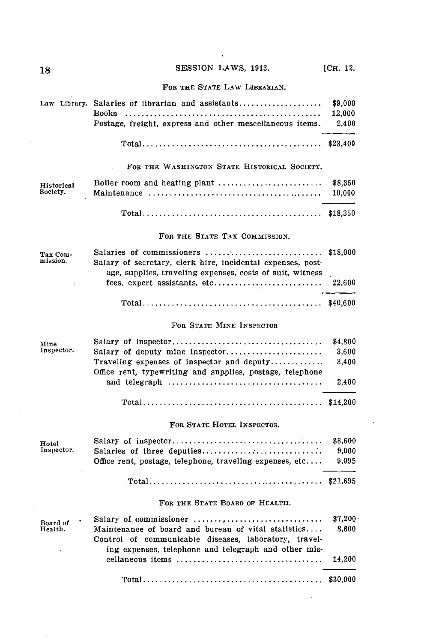$\ddot{\phantom{a}}$ 

 $\mathcal{L}^{\pm}$ 

## FOR **THE STATE** LAW LIBRARIAN.

|                        | Law Library. Salaries of librarian and assistants<br><b>Books</b><br>Postage, freight, express and other mescellaneous items.                                        | \$9,000<br>12,000<br>2,400         |
|------------------------|----------------------------------------------------------------------------------------------------------------------------------------------------------------------|------------------------------------|
|                        | $Total \dots \dots \dots \dots \dots \dots \dots \dots \dots \dots \dots \dots \dots \dots \dots \dots$                                                              | \$23,400                           |
|                        | FOR THE WASHINGTON STATE HISTORICAL SOCIETY.                                                                                                                         |                                    |
| Historical<br>Society. | Boiler room and heating plant                                                                                                                                        | 88,350<br>10,000                   |
|                        |                                                                                                                                                                      | \$18,350                           |
|                        | FOR THE STATE TAX COMMISSION.                                                                                                                                        |                                    |
| Tax Com-<br>mission.   | Salaries of commissioners<br>Salary of secretary, clerk hire, incidental expenses, post-<br>age, supplies, traveling expenses, costs of suit, witness                | \$18,000                           |
|                        | fees, expert assistants, etc                                                                                                                                         | 22,600                             |
|                        |                                                                                                                                                                      |                                    |
|                        | FOR STATE MINE INSPECTOR                                                                                                                                             |                                    |
| Mine<br>Inspector.     | Salary of deputy mine inspector<br>Traveling expenses of inspector and deputy<br>Office rent, typewriting and supplies, postage, telephone                           | \$4,800<br>3,600<br>3,400<br>2,400 |
|                        |                                                                                                                                                                      | \$14,200                           |
|                        | FOR STATE HOTEL INSPECTOR.                                                                                                                                           |                                    |
| Hotel<br>Inspector.    | Salaries of three deputies<br>Office rent, postage, telephone, traveling expenses, etc                                                                               | \$3,600<br>9,000<br>9,095          |
|                        |                                                                                                                                                                      | \$21,695                           |
|                        | FOR THE STATE BOARD OF HEALTH.                                                                                                                                       |                                    |
| Board of<br>Health.    | Maintenance of board and bureau of vital statistics<br>Control of communicable diseases, laboratory, travel-<br>ing expenses, telephone and telegraph and other mis- | \$7,200<br>8,600                   |
|                        | cellaneous items                                                                                                                                                     | 14,200                             |
|                        |                                                                                                                                                                      | \$30,000                           |

 $\bar{\omega}$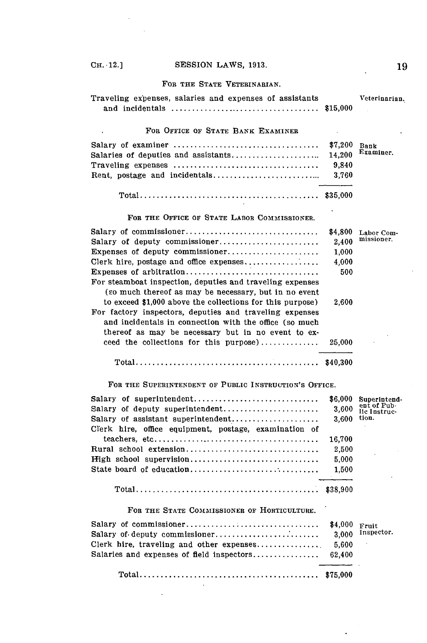# **CH.**  $\cdot$ **12.**] **SESSION LAWS, 1913. 1913.**

## **FOR THE STATE VETERINARIAN.**

| Traveling expenses, salaries and expenses of assistants                                                                                                                 | \$15,000 | Veterinarian. |
|-------------------------------------------------------------------------------------------------------------------------------------------------------------------------|----------|---------------|
| FOR OFFICE OF STATE BANK EXAMINER                                                                                                                                       |          |               |
| Salary of examiner                                                                                                                                                      | \$7,200  | Bank          |
| Salaries of deputies and assistants                                                                                                                                     | 14,200   | Examiner.     |
|                                                                                                                                                                         | 9.840    |               |
|                                                                                                                                                                         | 3,760    |               |
|                                                                                                                                                                         | \$35,000 |               |
| FOR THE OFFICE OF STATE LABOR COMMISSIONER.                                                                                                                             |          |               |
| Salary of commissioner                                                                                                                                                  | \$4,800  | Labor Com-    |
| Salary of deputy commissioner                                                                                                                                           | 2.400    | missioner.    |
| Expenses of deputy commissioner                                                                                                                                         | 1.000    |               |
|                                                                                                                                                                         | 4,000    |               |
| Expenses of arbitration                                                                                                                                                 | 500      |               |
| For steamboat inspection, deputies and traveling expenses<br>(so much thereof as may be necessary, but in no event                                                      |          |               |
| to exceed \$1,000 above the collections for this purpose)                                                                                                               | 2,600    |               |
| For factory inspectors, deputies and traveling expenses<br>and incidentals in connection with the office (so much<br>thereof as may be necessary but in no event to ex- |          |               |
| ceed the collections for this purpose)                                                                                                                                  | 25,000   |               |
|                                                                                                                                                                         | \$40,300 |               |

**FOR THE SUPERINTENDENT OF PUBLIC INSTRUCTION'S OFFICE.**

| Salary of superintendent<br>Salary of deputy superintendent<br>Salary of assistant superintendent | \$6,000<br>3.600<br>3.600 | Superintend-<br>ent of Pub-<br>lic Instruc-<br>tion. |
|---------------------------------------------------------------------------------------------------|---------------------------|------------------------------------------------------|
| Clerk hire, office equipment, postage, examination of                                             | 16.700                    |                                                      |
| Rural school extension                                                                            | 2.500                     |                                                      |
| High school supervision                                                                           | 5.000                     |                                                      |
|                                                                                                   | 1.500                     |                                                      |
|                                                                                                   |                           |                                                      |

FOR **THE STATE COMMIsSIONER** OF **HORTICULTURE.**

 $\ddot{\phantom{0}}$ 

 $\Box$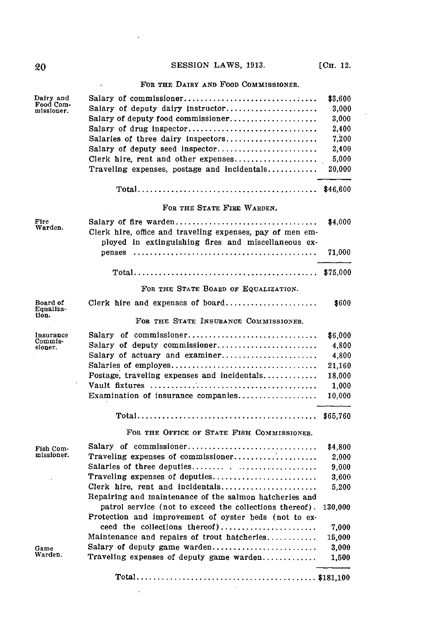# **20 SESSION LAWS, 1913.** [C<sub>H.</sub> 12.

 $\ddot{\cdot}$ 

 $\bar{\mathcal{A}}$ 

## - FOR THE DAIRY **AND** FOOD COMMISSIONER.

| Dairy and<br>Food Com-<br>missioner. | Salary of commissioner<br>Salary of deputy dairy instructor<br>Salary of deputy food commissioner<br>Salary of drug inspector<br>Salaries of three dairy inspectors<br>Salary of deputy seed inspector<br>Clerk hire, rent and other expenses<br>Traveling expenses, postage and incidentals | \$3,600<br>3,000<br>3,000<br>2,400<br>7,200<br>2,400<br>5,000<br>20,000 |
|--------------------------------------|----------------------------------------------------------------------------------------------------------------------------------------------------------------------------------------------------------------------------------------------------------------------------------------------|-------------------------------------------------------------------------|
|                                      | $Total \dots \dots \dots \dots \dots \dots \dots \dots \dots \dots \dots \dots \dots \dots \dots \dots$                                                                                                                                                                                      | \$46,600                                                                |
|                                      | FOR THE STATE FIRE WARDEN.                                                                                                                                                                                                                                                                   |                                                                         |
| Fire<br>Warden.                      | Salary of fire warden<br>Clerk hire, office and traveling expenses, pay of men em-<br>ployed in extinguishing fires and miscellaneous ex-                                                                                                                                                    | \$4,000                                                                 |
|                                      | penses                                                                                                                                                                                                                                                                                       | 71,000                                                                  |
|                                      |                                                                                                                                                                                                                                                                                              | \$75,000                                                                |
|                                      | FOR THE STATE BOARD OF EQUALIZATION.                                                                                                                                                                                                                                                         |                                                                         |
| Board of<br>Equaliza-<br>tion.       | Clerk hire and expenses of board                                                                                                                                                                                                                                                             | \$600                                                                   |
|                                      | FOR THE STATE INSUBANCE COMMISSIONER.                                                                                                                                                                                                                                                        |                                                                         |
| Insurance<br>Commis-                 | Salary of commissioner                                                                                                                                                                                                                                                                       | \$6,000                                                                 |
| sioner.                              | Salary of deputy commissioner                                                                                                                                                                                                                                                                | 4,800                                                                   |
|                                      | Salary of actuary and examiner                                                                                                                                                                                                                                                               | 4,800                                                                   |
|                                      |                                                                                                                                                                                                                                                                                              | 21,160                                                                  |
|                                      | Postage, traveling expenses and incidentals                                                                                                                                                                                                                                                  | 18,000                                                                  |
|                                      | Examination of insurance companies                                                                                                                                                                                                                                                           | 1,000<br>10,000                                                         |
|                                      |                                                                                                                                                                                                                                                                                              | \$65,760                                                                |
|                                      | FOR THE OFFICE OF STATE FISH COMMISSIONER.                                                                                                                                                                                                                                                   |                                                                         |
| Fish Com-                            | Salary of commissioner                                                                                                                                                                                                                                                                       | \$4,800                                                                 |
| missioner.                           | Traveling expenses of commissioner                                                                                                                                                                                                                                                           | 2,000                                                                   |
|                                      |                                                                                                                                                                                                                                                                                              | 9,000                                                                   |
|                                      | Traveling expenses of deputies                                                                                                                                                                                                                                                               | 3,600                                                                   |
|                                      | Clerk hire, rent and incidentals                                                                                                                                                                                                                                                             | 5,200                                                                   |
|                                      | Repairing and maintenance of the salmon hatcheries and                                                                                                                                                                                                                                       |                                                                         |
|                                      | patrol service (not to exceed the collections thereof).                                                                                                                                                                                                                                      | 130,000                                                                 |
|                                      | Protection and improvement of oyster beds (not to ex-                                                                                                                                                                                                                                        |                                                                         |
|                                      | ceed the collections thereof)                                                                                                                                                                                                                                                                | 7,000                                                                   |
|                                      | Maintenance and repairs of trout hatcheries                                                                                                                                                                                                                                                  | 15,000                                                                  |
| Game<br>Warden.                      | Salary of deputy game warden                                                                                                                                                                                                                                                                 | 3,000                                                                   |
|                                      | Traveling expenses of deputy game warden                                                                                                                                                                                                                                                     | 1,500                                                                   |
|                                      |                                                                                                                                                                                                                                                                                              |                                                                         |

 $\sim 10^{-11}$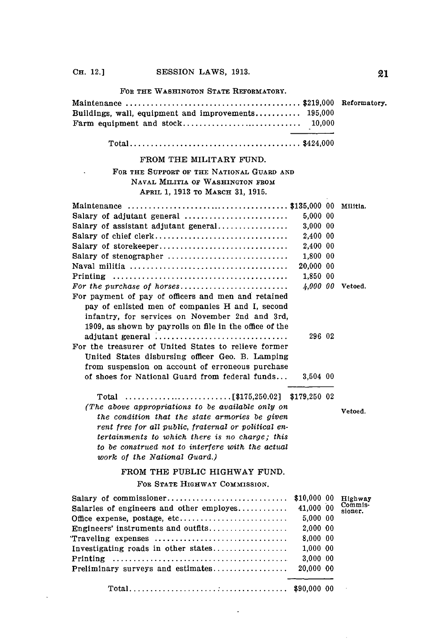FOR THE **WASHINGTON STATE** REFORMATORY.

| Buildings, wall, equipment and improvements 195,000 |  |
|-----------------------------------------------------|--|
|                                                     |  |
|                                                     |  |

**Total......................................** \$424,000

### FROM THE MILITARY **FUND.**

## FOR THE SUPPORT OF THE NATIONAL **GUARD AND NAVAL** MILHTIA OF **WASHINGTON** FROM APRIL **1, 1913** TO MARCH **31, 1915.**

|                                                                                              |           | Militia.         |
|----------------------------------------------------------------------------------------------|-----------|------------------|
| Salary of adjutant general                                                                   | 5,000 00  |                  |
| Salary of assistant adjutant general                                                         | 3,000 00  |                  |
| Salary of chief clerk                                                                        | 2,400 00  |                  |
|                                                                                              | 2.400 00  |                  |
| Salary of stenographer                                                                       | 1.800 00  |                  |
| Naval militia $\ldots \ldots \ldots \ldots \ldots \ldots \ldots \ldots \ldots \ldots \ldots$ | 20,000 00 |                  |
|                                                                                              | 1,850 00  |                  |
|                                                                                              |           | 4,000 00 Vetoed. |
| For payment of pay of officers and men and retained                                          |           |                  |
| pay of enlisted men of companies H and I, second                                             |           |                  |
| infantry, for services on November 2nd and 3rd,                                              |           |                  |
| 1909, as shown by payrolls on file in the office of the                                      |           |                  |
| adjutant general                                                                             | 296 02    |                  |
| For the treasurer of United States to relieve former                                         |           |                  |
| United States disbursing officer Geo. B. Lamping                                             |           |                  |
| from suspension on account of erroneous purchase                                             |           |                  |
| of shoes for National Guard from federal funds                                               | 3.504 00  |                  |
|                                                                                              |           |                  |
| E0175 OEA AOI - 0170 OEA - AO<br>$m_{\alpha}$ ia 1                                           |           |                  |

Total **......................... [\$175,250.02] \$179,250** 02 *(The above appropriations to be available only on the condition that the state armories be given rent free for all public, fraternal or political entertainments to which there is no charge; this to be construed not to interfere with the actual work of the National Guard.)*

Vetoed.

# FROM THE PUBLIC HIGHWAY **FUND.**

### FoR **STATE** HIGHWAY COMMISSION.

|                                                    | \$10,000 00 | Highway            |
|----------------------------------------------------|-------------|--------------------|
| Salaries of engineers and other employes 41,000 00 |             | Commis-<br>sioner. |
| Office expense, postage, etc                       | 5.000 00    |                    |
|                                                    | 2.000 00    |                    |
| Traveling expenses                                 | 8.000 00    |                    |
| Investigating roads in other states                | 1.000 00    |                    |
|                                                    | 3.00000     |                    |
|                                                    | 20.000 00   |                    |
|                                                    |             |                    |
|                                                    |             |                    |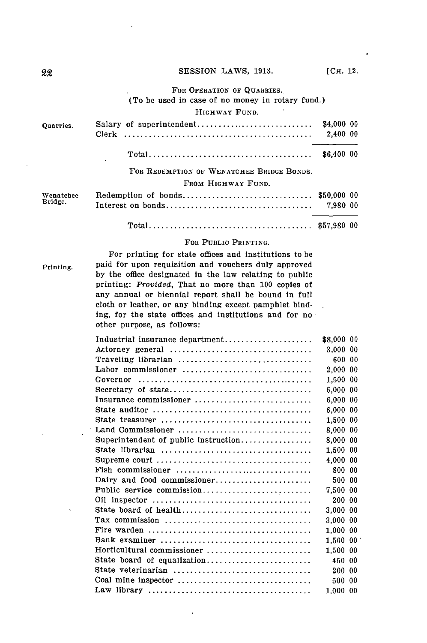### FOR OPERATION OF QUARRIES.

(To be used in case of no money in rotary fund.)

### HIGHWAY **FUND.**

| Quarries. |                                           | \$4,000 00<br>2.400 00 |  |
|-----------|-------------------------------------------|------------------------|--|
|           |                                           |                        |  |
|           | FOR REDEMPTION OF WENATCHEE BRIDGE BONDS. |                        |  |
|           | FROM HIGHWAY FUND.                        |                        |  |
| Wenatchee |                                           |                        |  |
| Bridge.   |                                           |                        |  |
|           |                                           |                        |  |

## **Total...................................... \$57,980 00**

### FOR **PUBLIC** PRINTING.

For printing for state offices and institutions to be Printing. paid for upon requisition and vouchers duly approved **by** the office designated in the law relating to public printing: *Provided,* That no more than **100** copies of any annual or biennial report shall be bound in full cloth or leather, or any binding except pamphlet binding, for the state offices and institutions and for no other purpose, as follows:

| Industrial insurance department                                                      | \$8,000 00 |  |
|--------------------------------------------------------------------------------------|------------|--|
| Attorney general                                                                     | 3,000 00   |  |
| Traveling librarian                                                                  | 600 00     |  |
| Labor commissioner                                                                   | 2,000 00   |  |
|                                                                                      | 1,500 00   |  |
| Secretary of state                                                                   | 6,000 00   |  |
| Insurance commissioner                                                               | 6,000 00   |  |
|                                                                                      | 6,000 00   |  |
|                                                                                      | 1,500 00   |  |
| Land Commissioner                                                                    | 8,000 00   |  |
| Superintendent of public instruction                                                 | 8,000 00   |  |
|                                                                                      | 1,500 00   |  |
|                                                                                      | 4,000 00   |  |
| Fish commissioner $\ldots, \ldots, \ldots, \ldots, \ldots, \ldots, \ldots, \ldots$   | 800 00     |  |
| Dairy and food commissioner                                                          | 500 00     |  |
| Public service commission                                                            | 7.500 00   |  |
|                                                                                      | 200 00     |  |
| State board of health                                                                | 3,000 00   |  |
| Tax commission $\ldots, \ldots, \ldots, \ldots, \ldots, \ldots, \ldots, \ldots$      | 3,000 00   |  |
|                                                                                      | 1,000 00   |  |
|                                                                                      | 1.500 00   |  |
| Horticultural commissioner                                                           | 1,500 00   |  |
| State board of equalization                                                          | 450 00     |  |
| State veterinarian                                                                   | 200 00     |  |
| Coal mine inspector $\ldots, \ldots, \ldots, \ldots, \ldots, \ldots, \ldots, \ldots$ | 500 00     |  |
|                                                                                      | 1.000 00   |  |